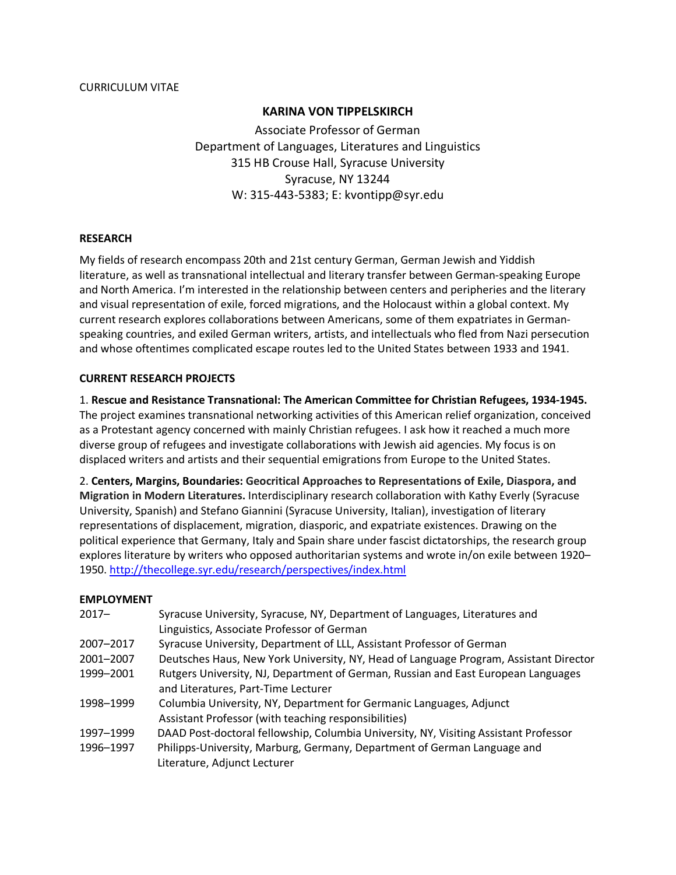# **KARINA VON TIPPELSKIRCH**

 Associate Professor of German Department of Languages, Literatures and Linguistics 315 HB Crouse Hall, Syracuse University Syracuse, NY 13244 W: 315-443-5383; E: [kvontipp@syr.edu](mailto:kvontipp@syr.edu) 

### **RESEARCH**

 My fields of research encompass 20th and 21st century German, German Jewish and Yiddish literature, as well as transnational intellectual and literary transfer between German-speaking Europe and North America. I'm interested in the relationship between centers and peripheries and the literary and visual representation of exile, forced migrations, and the Holocaust within a global context. My current research explores collaborations between Americans, some of them expatriates in German- speaking countries, and exiled German writers, artists, and intellectuals who fled from Nazi persecution and whose oftentimes complicated escape routes led to the United States between 1933 and 1941.

## **CURRENT RESEARCH PROJECTS**

 1. **Rescue and Resistance Transnational: The American Committee for Christian Refugees, 1934-1945.**  The project examines transnational networking activities of this American relief organization, conceived as a Protestant agency concerned with mainly Christian refugees. I ask how it reached a much more diverse group of refugees and investigate collaborations with Jewish aid agencies. My focus is on displaced writers and artists and their sequential emigrations from Europe to the United States.

 2. **Centers, Margins, Boundaries: Geocritical Approaches to Representations of Exile, Diaspora, and Migration in Modern Literatures.** Interdisciplinary research collaboration with Kathy Everly (Syracuse University, Spanish) and Stefano Giannini (Syracuse University, Italian), investigation of literary representations of displacement, migration, diasporic, and expatriate existences. Drawing on the political experience that Germany, Italy and Spain share under fascist dictatorships, the research group explores literature by writers who opposed authoritarian systems and wrote in/on exile between 1920– 1950.<http://thecollege.syr.edu/research/perspectives/index.html>

## **EMPLOYMENT**

| $2017 -$  | Syracuse University, Syracuse, NY, Department of Languages, Literatures and<br>Linguistics, Associate Professor of German   |
|-----------|-----------------------------------------------------------------------------------------------------------------------------|
| 2007-2017 | Syracuse University, Department of LLL, Assistant Professor of German                                                       |
| 2001-2007 | Deutsches Haus, New York University, NY, Head of Language Program, Assistant Director                                       |
| 1999-2001 | Rutgers University, NJ, Department of German, Russian and East European Languages<br>and Literatures, Part-Time Lecturer    |
| 1998-1999 | Columbia University, NY, Department for Germanic Languages, Adjunct<br>Assistant Professor (with teaching responsibilities) |
| 1997-1999 | DAAD Post-doctoral fellowship, Columbia University, NY, Visiting Assistant Professor                                        |
| 1996-1997 | Philipps-University, Marburg, Germany, Department of German Language and<br>Literature, Adjunct Lecturer                    |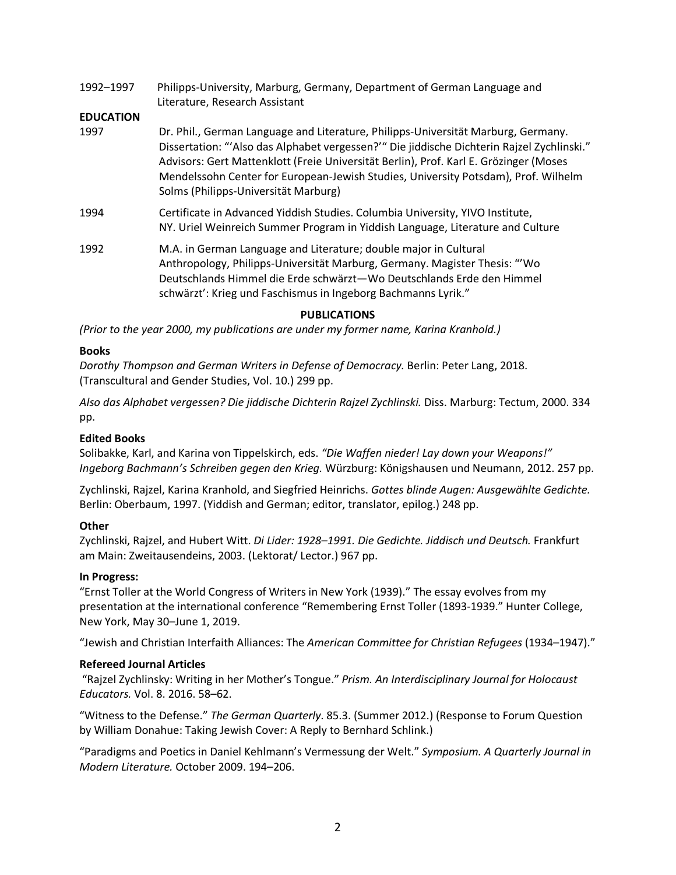1992–1997 Philipps-University, Marburg, Germany, Department of German Language and Literature, Research Assistant

## **EDUCATION**

- 1997 Mendelssohn Center for European-Jewish Studies, University Potsdam), Prof. Wilhelm Dr. Phil., German Language and Literature, Philipps-Universität Marburg, Germany. Dissertation: "'Also das Alphabet vergessen?'" Die jiddische Dichterin Rajzel Zychlinski." Advisors: Gert Mattenklott (Freie Universität Berlin), Prof. Karl E. Grözinger (Moses Solms (Philipps-Universität Marburg)
- 1994 Certificate in Advanced Yiddish Studies. Columbia University, YIVO Institute, NY. Uriel Weinreich Summer Program in Yiddish Language, Literature and Culture
- 1992 M.A. in German Language and Literature; double major in Cultural Anthropology, Philipps-Universität Marburg, Germany. Magister Thesis: "'Wo Deutschlands Himmel die Erde schwärzt—Wo Deutschlands Erde den Himmel schwärzt': Krieg und Faschismus in Ingeborg Bachmanns Lyrik."

### **PUBLICATIONS**

 *(Prior to the year 2000, my publications are under my former name, Karina Kranhold.)* 

### **Books**

 *Dorothy Thompson and German Writers in Defense of Democracy.* Berlin: Peter Lang, 2018. (Transcultural and Gender Studies, Vol. 10.) 299 pp.

 *Also das Alphabet vergessen? Die jiddische Dichterin Rajzel Zychlinski.* Diss. Marburg: Tectum, 2000. 334 pp.

#### **Edited Books**

 Solibakke, Karl, and Karina von Tippelskirch, eds. *"Die Waffen nieder! Lay down your Weapons!" Ingeborg Bachmann's Schreiben gegen den Krieg.* Würzburg: Königshausen und Neumann, 2012. 257 pp.

 Zychlinski, Rajzel, Karina Kranhold, and Siegfried Heinrichs. *Gottes blinde Augen: Ausgewählte Gedichte.*  Berlin: Oberbaum, 1997. (Yiddish and German; editor, translator, epilog.) 248 pp.

## **Other**

 Zychlinski, Rajzel, and Hubert Witt. *Di Lider: 1928–1991. Die Gedichte. Jiddisch und Deutsch.* Frankfurt am Main: Zweitausendeins, 2003. (Lektorat/ Lector.) 967 pp.

#### **In Progress:**

 "Ernst Toller at the World Congress of Writers in New York (1939)." The essay evolves from my presentation at the international conference "Remembering Ernst Toller (1893-1939." Hunter College, New York, May 30–June 1, 2019.

"Jewish and Christian Interfaith Alliances: The *American Committee for Christian Refugees* (1934–1947)."

## **Refereed Journal Articles**

 "Rajzel Zychlinsky: Writing in her Mother's Tongue." *Prism. An Interdisciplinary Journal for Holocaust Educators.* Vol. 8. 2016. 58–62.

 "Witness to the Defense." *The German Quarterly*. 85.3. (Summer 2012.) (Response to Forum Question by William Donahue: Taking Jewish Cover: A Reply to Bernhard Schlink.)

 "Paradigms and Poetics in Daniel Kehlmann's Vermessung der Welt." *Symposium. A Quarterly Journal in Modern Literature.* October 2009. 194–206.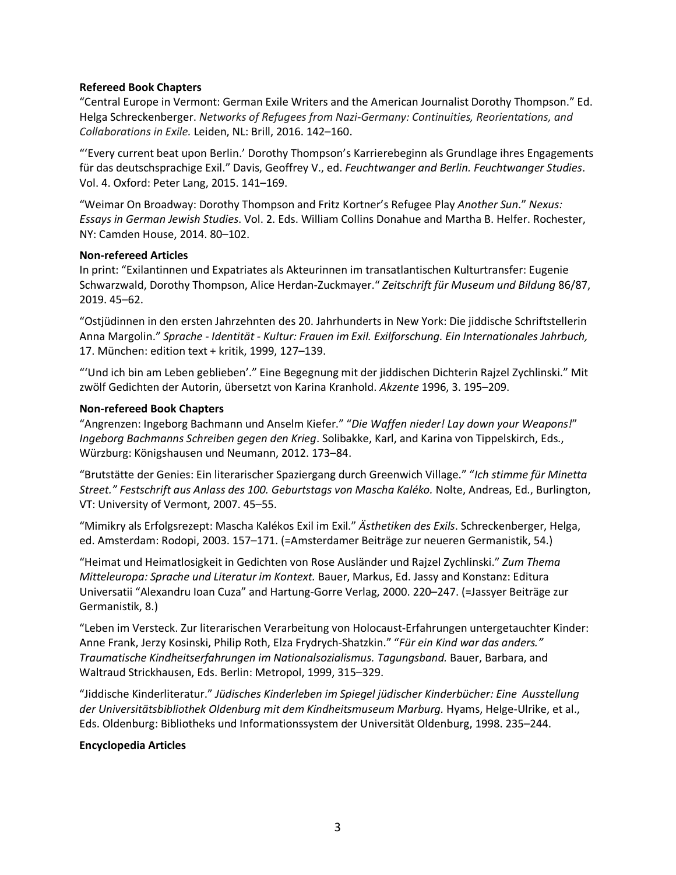## **Refereed Book Chapters**

 "Central Europe in Vermont: German Exile Writers and the American Journalist Dorothy Thompson." Ed.  Helga Schreckenberger. *Networks of Refugees from Nazi-Germany: Continuities, Reorientations, and Collaborations in Exile.* Leiden, NL: Brill, 2016. 142–160.

 "'Every current beat upon Berlin.' Dorothy Thompson's Karrierebeginn als Grundlage ihres Engagements für das deutschsprachige Exil." Davis, Geoffrey V., ed. *Feuchtwanger and Berlin. Feuchtwanger Studies*. Vol. 4. Oxford: Peter Lang, 2015. 141–169.

 "Weimar On Broadway: Dorothy Thompson and Fritz Kortner's Refugee Play *Another Sun*." *Nexus: Essays in German Jewish Studies*. Vol. 2. Eds. William Collins Donahue and Martha B. Helfer. Rochester, NY: Camden House, 2014. 80–102.

# **Non-refereed Articles**

 In print: "Exilantinnen und Expatriates als Akteurinnen im transatlantischen Kulturtransfer: Eugenie Schwarzwald, Dorothy Thompson, Alice Herdan-Zuckmayer." *Zeitschrift für Museum und Bildung* 86/87, 2019. 45–62.

 "Ostjüdinnen in den ersten Jahrzehnten des 20. Jahrhunderts in New York: Die jiddische Schriftstellerin  Anna Margolin." *Sprache - Identität - Kultur: Frauen im Exil. Exilforschung. Ein Internationales Jahrbuch,*  17. München: edition text + kritik, 1999, 127–139.

 "'Und ich bin am Leben geblieben'." Eine Begegnung mit der jiddischen Dichterin Rajzel Zychlinski." Mit zwölf Gedichten der Autorin, übersetzt von Karina Kranhold. *Akzente* 1996, 3. 195–209.

## **Non-refereed Book Chapters**

 "Angrenzen: Ingeborg Bachmann und Anselm Kiefer." "*Die Waffen nieder! Lay down your Weapons!*"  *Ingeborg Bachmanns Schreiben gegen den Krieg*. Solibakke, Karl, and Karina von Tippelskirch, Eds., Würzburg: Königshausen und Neumann, 2012. 173–84.

 "Brutstätte der Genies: Ein literarischer Spaziergang durch Greenwich Village." "*Ich stimme für Minetta Street." Festschrift aus Anlass des 100. Geburtstags von Mascha Kaléko.* Nolte, Andreas, Ed., Burlington, VT: University of Vermont, 2007. 45–55.

 "Mimikry als Erfolgsrezept: Mascha Kalékos Exil im Exil." *Ästhetiken des Exils*. Schreckenberger, Helga, ed. Amsterdam: Rodopi, 2003. 157–171. (=Amsterdamer Beiträge zur neueren Germanistik, 54.)

 "Heimat und Heimatlosigkeit in Gedichten von Rose Ausländer und Rajzel Zychlinski." *Zum Thema Mitteleuropa: Sprache und Literatur im Kontext.* Bauer, Markus, Ed. Jassy and Konstanz: Editura Universatii "Alexandru Ioan Cuza" and Hartung-Gorre Verlag, 2000. 220–247. (=Jassyer Beiträge zur Germanistik, 8.)

 "Leben im Versteck. Zur literarischen Verarbeitung von Holocaust-Erfahrungen untergetauchter Kinder: Anne Frank, Jerzy Kosinski, Philip Roth, Elza Frydrych-Shatzkin." "*Für ein Kind war das anders."*  Waltraud Strickhausen, Eds. Berlin: Metropol, 1999, 315–329. *Traumatische Kindheitserfahrungen im Nationalsozialismus. Tagungsband.* Bauer, Barbara, and

 "Jiddische Kinderliteratur." *Jüdisches Kinderleben im Spiegel jüdischer Kinderbücher: Eine Ausstellung der Universitätsbibliothek Oldenburg mit dem Kindheitsmuseum Marburg.* Hyams, Helge-Ulrike, et al., Eds. Oldenburg: Bibliotheks und Informationssystem der Universität Oldenburg, 1998. 235–244.

## **Encyclopedia Articles**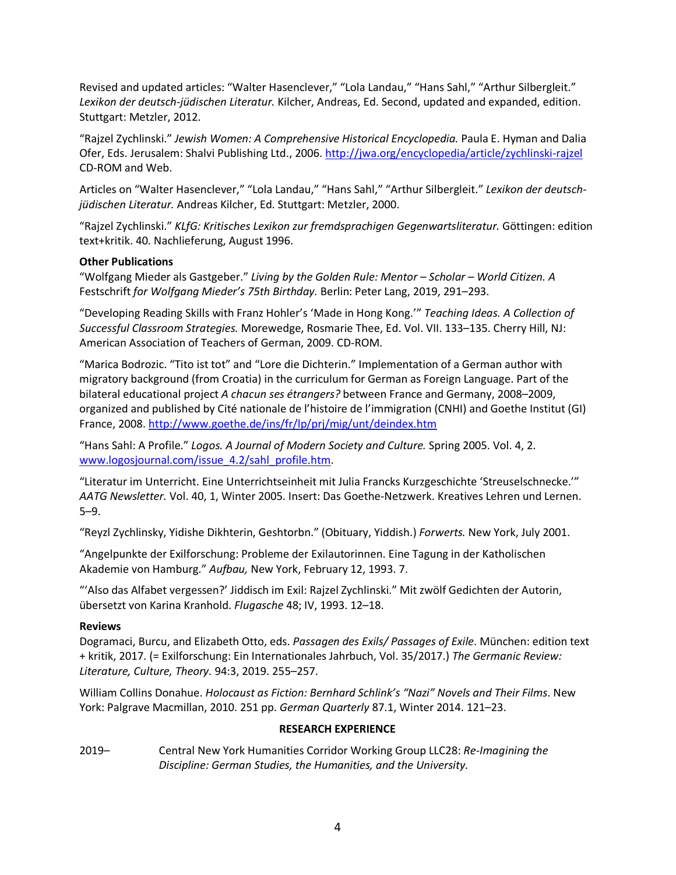Revised and updated articles: "Walter Hasenclever," "Lola Landau," "Hans Sahl," "Arthur Silbergleit."  *Lexikon der deutsch-jüdischen Literatur.* Kilcher, Andreas, Ed. Second, updated and expanded, edition. Stuttgart: Metzler, 2012.

 "Rajzel Zychlinski." *Jewish Women: A Comprehensive Historical Encyclopedia.* Paula E. Hyman and Dalia Ofer, Eds. Jerusalem: Shalvi Publishing Ltd., 2006. http://jwa.org/encyclopedia/article/zychlinski-rajzel CD-ROM and Web.

 Articles on "Walter Hasenclever," "Lola Landau," "Hans Sahl," "Arthur Silbergleit." *Lexikon der deutsch-jüdischen Literatur.* Andreas Kilcher, Ed. Stuttgart: Metzler, 2000.

 "Rajzel Zychlinski." *KLfG: Kritisches Lexikon zur fremdsprachigen Gegenwartsliteratur.* Göttingen: edition text+kritik. 40. Nachlieferung, August 1996.

# **Other Publications**

 "Wolfgang Mieder als Gastgeber." *Living by the Golden Rule: Mentor – Scholar – World Citizen. A*  Festschrift *for Wolfgang Mieder's 75th Birthday.* Berlin: Peter Lang, 2019, 291–293.

 "Developing Reading Skills with Franz Hohler's 'Made in Hong Kong.'" *Teaching Ideas. A Collection of Successful Classroom Strategies.* Morewedge, Rosmarie Thee, Ed. Vol. VII. 133–135. Cherry Hill, NJ: American Association of Teachers of German, 2009. CD-ROM.

 "Marica Bodrozic. "Tito ist tot" and "Lore die Dichterin." Implementation of a German author with migratory background (from Croatia) in the curriculum for German as Foreign Language. Part of the bilateral educational project *A chacun ses étrangers?* between France and Germany, 2008–2009, organized and published by Cité nationale de l'histoire de l'immigration (CNHI) and Goethe Institut (GI) France, 2008. http://www.goethe.de/ins/fr/lp/prj/mig/unt/deindex.htm

 "Hans Sahl: A Profile." *Logos. A Journal of Modern Society and Culture.* Spring 2005. Vol. 4, 2. [www.logosjournal.com/issue\\_4.2/sahl\\_profile.htm.](www.logosjournal.com/issue_4.2/sahl_profile.htm)

 "Literatur im Unterricht. Eine Unterrichtseinheit mit Julia Francks Kurzgeschichte 'Streuselschnecke.'" *AATG Newsletter.* Vol. 40, 1, Winter 2005. Insert: Das Goethe-Netzwerk. Kreatives Lehren und Lernen. 5–9.

"Reyzl Zychlinsky, Yidishe Dikhterin, Geshtorbn." (Obituary, Yiddish.) *Forwerts.* New York, July 2001.

 "Angelpunkte der Exilforschung: Probleme der Exilautorinnen. Eine Tagung in der Katholischen Akademie von Hamburg." *Aufbau,* New York, February 12, 1993. 7.

 "'Also das Alfabet vergessen?' Jiddisch im Exil: Rajzel Zychlinski." Mit zwölf Gedichten der Autorin, übersetzt von Karina Kranhold. *Flugasche* 48; IV, 1993. 12–18.

## **Reviews**

 Dogramaci, Burcu, and Elizabeth Otto, eds. *Passagen des Exils/ Passages of Exile*. München: edition text + kritik, 2017. (= Exilforschung: Ein Internationales Jahrbuch, Vol. 35/2017.) *The Germanic Review: Literature, Culture, Theory.* 94:3, 2019. 255–257.

 William Collins Donahue. *Holocaust as Fiction: Bernhard Schlink's "Nazi" Novels and Their Films*. New York: Palgrave Macmillan, 2010. 251 pp. *German Quarterly* 87.1, Winter 2014. 121–23.

# **RESEARCH EXPERIENCE**

 2019– Central New York Humanities Corridor Working Group LLC28: *Re-Imagining the Discipline: German Studies, the Humanities, and the University.*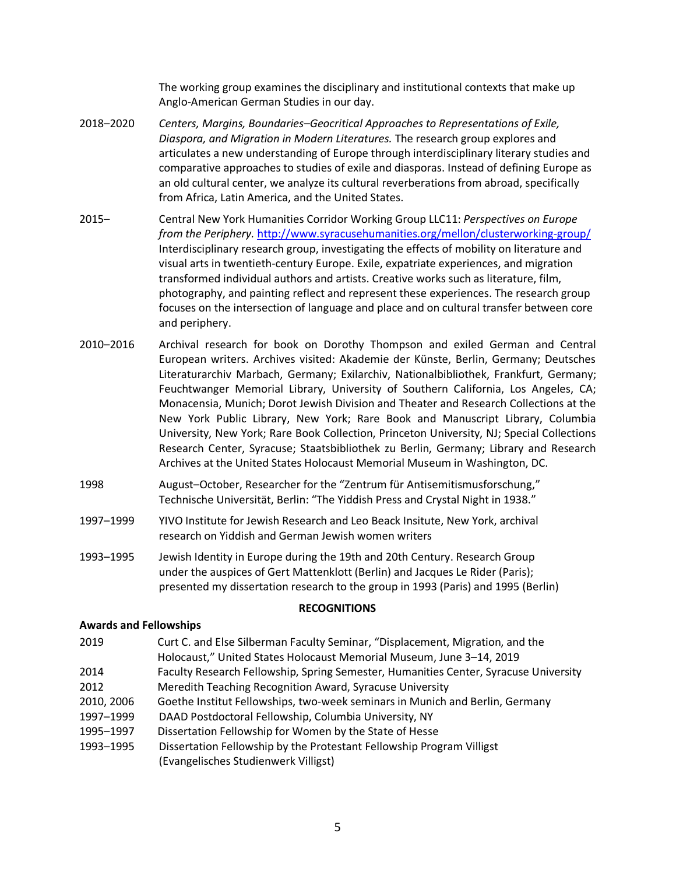Anglo-American German Studies in our day. The working group examines the disciplinary and institutional contexts that make up

- 2018-2020  *Diaspora, and Migration in Modern Literatures.* The research group explores and articulates a new understanding of Europe through interdisciplinary literary studies and comparative approaches to studies of exile and diasporas. Instead of defining Europe as an old cultural center, we analyze its cultural reverberations from abroad, specifically from Africa, Latin America, and the United States. 2018–2020 *Centers, Margins, Boundaries–Geocritical Approaches to Representations of Exile,*
- 2015– Central New York Humanities Corridor Working Group LLC11: *Perspectives on Europe from the Periphery.* <http://www.syracusehumanities.org/mellon/clusterworking-group>/ Interdisciplinary research group, investigating the effects of mobility on literature and visual arts in twentieth-century Europe. Exile, expatriate experiences, and migration photography, and painting reflect and represent these experiences. The research group focuses on the intersection of language and place and on cultural transfer between core and periphery. transformed individual authors and artists. Creative works such as literature, film,
- and periphery.<br>2010–2016 Archival research for book on Dorothy Thompson and exiled German and Central European writers. Archives visited: Akademie der Künste, Berlin, Germany; Deutsches Literaturarchiv Marbach, Germany; Exilarchiv, Nationalbibliothek, Frankfurt, Germany; Feuchtwanger Memorial Library, University of Southern California, Los Angeles, CA; Monacensia, Munich; Dorot Jewish Division and Theater and Research Collections at the New York Public Library, New York; Rare Book and Manuscript Library, Columbia University, New York; Rare Book Collection, Princeton University, NJ; Special Collections Research Center, Syracuse; Staatsbibliothek zu Berlin, Germany; Library and Research Archives at the United States Holocaust Memorial Museum in Washington, DC.
- August–October, Researcher for the "Zentrum für Antisemitismusforschung," Technische Universität, Berlin: "The Yiddish Press and Crystal Night in 1938."
- 1997–1999 YIVO Institute for Jewish Research and Leo Beack Insitute, New York, archival research on Yiddish and German Jewish women writers
- 1993–1995 Jewish Identity in Europe during the 19th and 20th Century. Research Group under the auspices of Gert Mattenklott (Berlin) and Jacques Le Rider (Paris); presented my dissertation research to the group in 1993 (Paris) and 1995 (Berlin)

## **RECOGNITIONS**

## **Awards and Fellowships**

- 2019 Curt C. and Else Silberman Faculty Seminar, "Displacement, Migration, and the Holocaust," United States Holocaust Memorial Museum, June 3–14, 2019
- 2014 Faculty Research Fellowship, Spring Semester, Humanities Center, Syracuse University
- 2012 Meredith Teaching Recognition Award, Syracuse University
- 2010, 2006 Goethe Institut Fellowships, two-week seminars in Munich and Berlin, Germany
- 1997–1999 DAAD Postdoctoral Fellowship, Columbia University, NY
- 1995–1997 Dissertation Fellowship for Women by the State of Hesse
- 1993–1995 Dissertation Fellowship by the Protestant Fellowship Program Villigst (Evangelisches Studienwerk Villigst)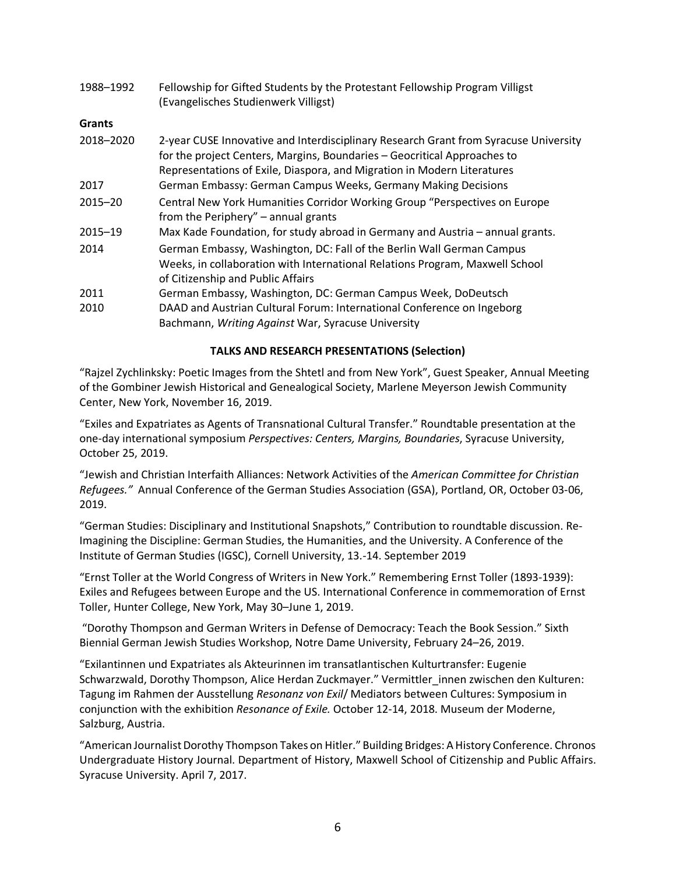| 1988-1992     | Fellowship for Gifted Students by the Protestant Fellowship Program Villigst<br>(Evangelisches Studienwerk Villigst)                                                                                                                        |
|---------------|---------------------------------------------------------------------------------------------------------------------------------------------------------------------------------------------------------------------------------------------|
| <b>Grants</b> |                                                                                                                                                                                                                                             |
| 2018-2020     | 2-year CUSE Innovative and Interdisciplinary Research Grant from Syracuse University<br>for the project Centers, Margins, Boundaries - Geocritical Approaches to<br>Representations of Exile, Diaspora, and Migration in Modern Literatures |
| 2017          | German Embassy: German Campus Weeks, Germany Making Decisions                                                                                                                                                                               |
| $2015 - 20$   | Central New York Humanities Corridor Working Group "Perspectives on Europe<br>from the Periphery" – annual grants                                                                                                                           |
| 2015-19       | Max Kade Foundation, for study abroad in Germany and Austria - annual grants.                                                                                                                                                               |
| 2014          | German Embassy, Washington, DC: Fall of the Berlin Wall German Campus<br>Weeks, in collaboration with International Relations Program, Maxwell School<br>of Citizenship and Public Affairs                                                  |
| 2011          | German Embassy, Washington, DC: German Campus Week, DoDeutsch                                                                                                                                                                               |
| 2010          | DAAD and Austrian Cultural Forum: International Conference on Ingeborg<br>Bachmann, Writing Against War, Syracuse University                                                                                                                |

# **TALKS AND RESEARCH PRESENTATIONS (Selection)**

 "Rajzel Zychlinksky: Poetic Images from the Shtetl and from New York", Guest Speaker, Annual Meeting of the Gombiner Jewish Historical and Genealogical Society, Marlene Meyerson Jewish Community Center, New York, November 16, 2019.

 "Exiles and Expatriates as Agents of Transnational Cultural Transfer." Roundtable presentation at the  one-day international symposium *Perspectives: Centers, Margins, Boundaries*, Syracuse University, October 25, 2019.

 "Jewish and Christian Interfaith Alliances: Network Activities of the *American Committee for Christian Refugees."* Annual Conference of the German Studies Association (GSA), Portland, OR, October 03-06, 2019.

2019.<br>"German Studies: Disciplinary and Institutional Snapshots," Contribution to roundtable discussion. Re- Imagining the Discipline: German Studies, the Humanities, and the University. A Conference of the Institute of German Studies (IGSC), Cornell University, 13.-14. September 2019

 "Ernst Toller at the World Congress of Writers in New York." Remembering Ernst Toller (1893-1939): Exiles and Refugees between Europe and the US. International Conference in commemoration of Ernst Toller, Hunter College, New York, May 30–June 1, 2019.

 "Dorothy Thompson and German Writers in Defense of Democracy: Teach the Book Session." Sixth Biennial German Jewish Studies Workshop, Notre Dame University, February 24–26, 2019.

 "Exilantinnen und Expatriates als Akteurinnen im transatlantischen Kulturtransfer: Eugenie Schwarzwald, Dorothy Thompson, Alice Herdan Zuckmayer." Vermittler\_innen zwischen den Kulturen:  Tagung im Rahmen der Ausstellung *Resonanz von Exil*/ Mediators between Cultures: Symposium in conjunction with the exhibition *Resonance of Exile.* October 12-14, 2018. Museum der Moderne, Salzburg, Austria.

 "American Journalist Dorothy Thompson Takes on Hitler." Building Bridges: A History Conference. Chronos Undergraduate History Journal. Department of History, Maxwell School of Citizenship and Public Affairs. Syracuse University. April 7, 2017.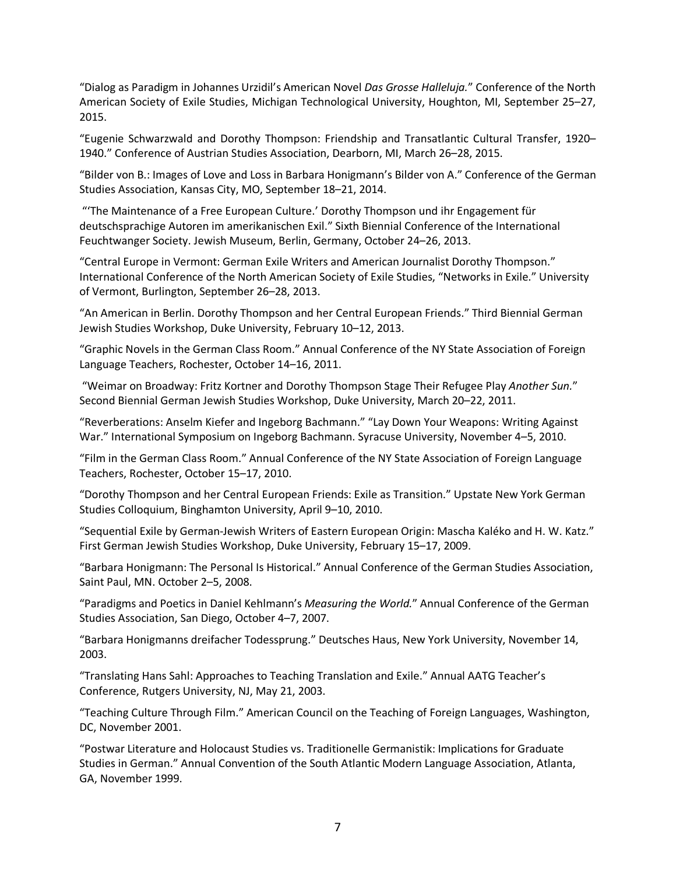"Dialog as Paradigm in Johannes Urzidil's American Novel *Das Grosse Halleluja.*" Conference of the North American Society of Exile Studies, Michigan Technological University, Houghton, MI, September 25–27, 2015.

 "Eugenie Schwarzwald and Dorothy Thompson: Friendship and Transatlantic Cultural Transfer, 1920– 1940." Conference of Austrian Studies Association, Dearborn, MI, March 26–28, 2015.

 "Bilder von B.: Images of Love and Loss in Barbara Honigmann's Bilder von A." Conference of the German Studies Association, Kansas City, MO, September 18–21, 2014.

 "'The Maintenance of a Free European Culture.' Dorothy Thompson und ihr Engagement für deutschsprachige Autoren im amerikanischen Exil." Sixth Biennial Conference of the International Feuchtwanger Society. Jewish Museum, Berlin, Germany, October 24–26, 2013.

 "Central Europe in Vermont: German Exile Writers and American Journalist Dorothy Thompson." International Conference of the North American Society of Exile Studies, "Networks in Exile." University of Vermont, Burlington, September 26–28, 2013.

 "An American in Berlin. Dorothy Thompson and her Central European Friends." Third Biennial German Jewish Studies Workshop, Duke University, February 10–12, 2013.

 "Graphic Novels in the German Class Room." Annual Conference of the NY State Association of Foreign Language Teachers, Rochester, October 14–16, 2011.

 "Weimar on Broadway: Fritz Kortner and Dorothy Thompson Stage Their Refugee Play *Another Sun.*" Second Biennial German Jewish Studies Workshop, Duke University, March 20–22, 2011.

 "Reverberations: Anselm Kiefer and Ingeborg Bachmann." "Lay Down Your Weapons: Writing Against War." International Symposium on Ingeborg Bachmann. Syracuse University, November 4–5, 2010.

 "Film in the German Class Room." Annual Conference of the NY State Association of Foreign Language Teachers, Rochester, October 15–17, 2010.

 "Dorothy Thompson and her Central European Friends: Exile as Transition." Upstate New York German Studies Colloquium, Binghamton University, April 9–10, 2010.

 "Sequential Exile by German-Jewish Writers of Eastern European Origin: Mascha Kaléko and H. W. Katz." First German Jewish Studies Workshop, Duke University, February 15–17, 2009.

 "Barbara Honigmann: The Personal Is Historical." Annual Conference of the German Studies Association, Saint Paul, MN. October 2–5, 2008.

 "Paradigms and Poetics in Daniel Kehlmann's *Measuring the World.*" Annual Conference of the German Studies Association, San Diego, October 4–7, 2007.

 "Barbara Honigmanns dreifacher Todessprung." Deutsches Haus, New York University, November 14, 2003.

 "Translating Hans Sahl: Approaches to Teaching Translation and Exile." Annual AATG Teacher's Conference, Rutgers University, NJ, May 21, 2003.

 "Teaching Culture Through Film." American Council on the Teaching of Foreign Languages, Washington, DC, November 2001.

 "Postwar Literature and Holocaust Studies vs. Traditionelle Germanistik: Implications for Graduate Studies in German." Annual Convention of the South Atlantic Modern Language Association, Atlanta, GA, November 1999.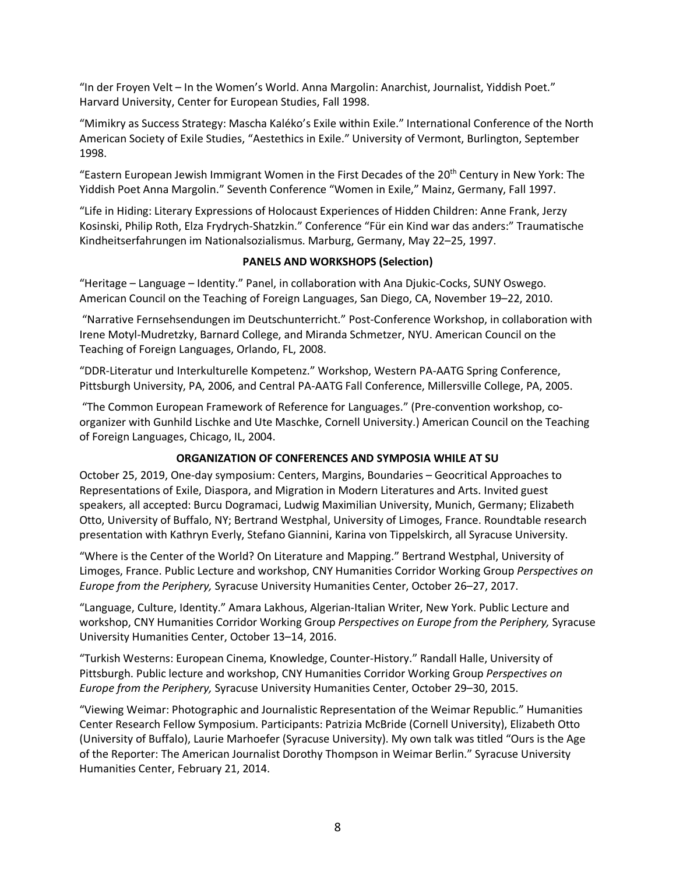"In der Froyen Velt – In the Women's World. Anna Margolin: Anarchist, Journalist, Yiddish Poet." Harvard University, Center for European Studies, Fall 1998.

 "Mimikry as Success Strategy: Mascha Kaléko's Exile within Exile." International Conference of the North American Society of Exile Studies, "Aestethics in Exile." University of Vermont, Burlington, September 1998.

"Eastern European Jewish Immigrant Women in the First Decades of the 20<sup>th</sup> Century in New York: The Yiddish Poet Anna Margolin." Seventh Conference "Women in Exile," Mainz, Germany, Fall 1997.

 "Life in Hiding: Literary Expressions of Holocaust Experiences of Hidden Children: Anne Frank, Jerzy Kosinski, Philip Roth, Elza Frydrych-Shatzkin." Conference "Für ein Kind war das anders:" Traumatische Kindheitserfahrungen im Nationalsozialismus. Marburg, Germany, May 22–25, 1997.

# **PANELS AND WORKSHOPS (Selection)**

 "Heritage – Language – Identity." Panel, in collaboration with Ana Djukic-Cocks, SUNY Oswego. American Council on the Teaching of Foreign Languages, San Diego, CA, November 19–22, 2010.

 "Narrative Fernsehsendungen im Deutschunterricht." Post-Conference Workshop, in collaboration with Irene Motyl-Mudretzky, Barnard College, and Miranda Schmetzer, NYU. American Council on the Teaching of Foreign Languages, Orlando, FL, 2008.

 "DDR-Literatur und Interkulturelle Kompetenz." Workshop, Western PA-AATG Spring Conference, Pittsburgh University, PA, 2006, and Central PA-AATG Fall Conference, Millersville College, PA, 2005.

 organizer with Gunhild Lischke and Ute Maschke, Cornell University.) American Council on the Teaching of Foreign Languages, Chicago, IL, 2004. "The Common European Framework of Reference for Languages." (Pre-convention workshop, co-

# **ORGANIZATION OF CONFERENCES AND SYMPOSIA WHILE AT SU**

 October 25, 2019, One-day symposium: Centers, Margins, Boundaries – Geocritical Approaches to Representations of Exile, Diaspora, and Migration in Modern Literatures and Arts. Invited guest speakers, all accepted: Burcu Dogramaci, Ludwig Maximilian University, Munich, Germany; Elizabeth Otto, University of Buffalo, NY; Bertrand Westphal, University of Limoges, France. Roundtable research presentation with Kathryn Everly, Stefano Giannini, Karina von Tippelskirch, all Syracuse University.

 "Where is the Center of the World? On Literature and Mapping." Bertrand Westphal, University of Limoges, France. Public Lecture and workshop, CNY Humanities Corridor Working Group *Perspectives on Europe from the Periphery,* Syracuse University Humanities Center, October 26–27, 2017.

 "Language, Culture, Identity." Amara Lakhous, Algerian-Italian Writer, New York. Public Lecture and workshop, CNY Humanities Corridor Working Group *Perspectives on Europe from the Periphery,* Syracuse University Humanities Center, October 13–14, 2016.

 "Turkish Westerns: European Cinema, Knowledge, Counter-History." Randall Halle, University of Pittsburgh. Public lecture and workshop, CNY Humanities Corridor Working Group *Perspectives on Europe from the Periphery,* Syracuse University Humanities Center, October 29–30, 2015.

 "Viewing Weimar: Photographic and Journalistic Representation of the Weimar Republic." Humanities Center Research Fellow Symposium. Participants: Patrizia McBride (Cornell University), Elizabeth Otto (University of Buffalo), Laurie Marhoefer (Syracuse University). My own talk was titled "Ours is the Age of the Reporter: The American Journalist Dorothy Thompson in Weimar Berlin." Syracuse University Humanities Center, February 21, 2014.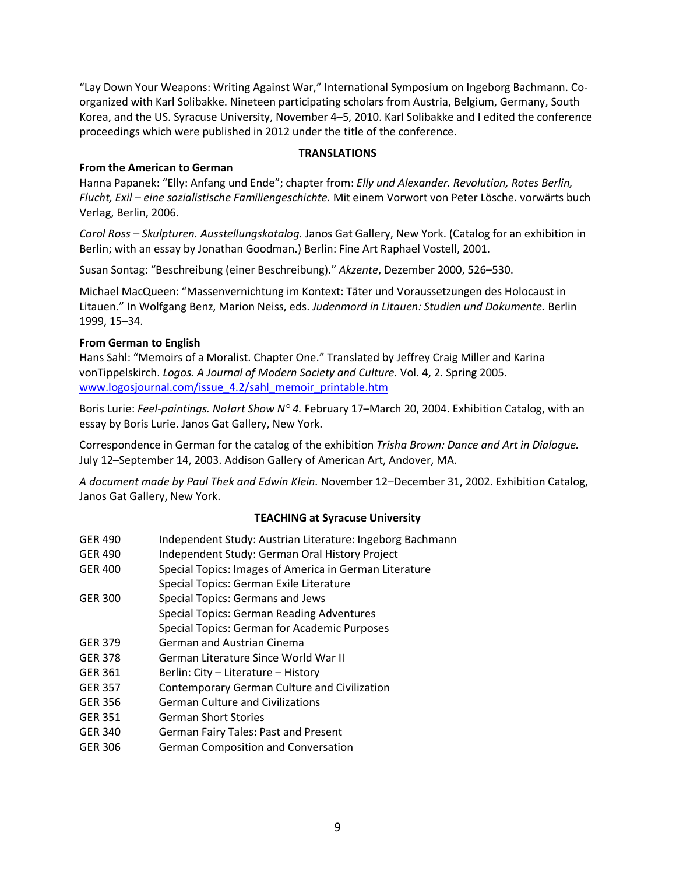"Lay Down Your Weapons: Writing Against War," International Symposium on Ingeborg Bachmann. Co- organized with Karl Solibakke. Nineteen participating scholars from Austria, Belgium, Germany, South Korea, and the US. Syracuse University, November 4–5, 2010. Karl Solibakke and I edited the conference proceedings which were published in 2012 under the title of the conference.

### **TRANSLATIONS**

## **From the American to German**

 Hanna Papanek: "Elly: Anfang und Ende"; chapter from: *Elly und Alexander. Revolution, Rotes Berlin, Flucht, Exil – eine sozialistische Familiengeschichte.* Mit einem Vorwort von Peter Lösche. vorwärts buch Verlag, Berlin, 2006.

 *Carol Ross – Skulpturen. Ausstellungskatalog.* Janos Gat Gallery, New York. (Catalog for an exhibition in Berlin; with an essay by Jonathan Goodman.) Berlin: Fine Art Raphael Vostell, 2001.

Susan Sontag: "Beschreibung (einer Beschreibung)." *Akzente*, Dezember 2000, 526–530.

 Michael MacQueen: "Massenvernichtung im Kontext: Täter und Voraussetzungen des Holocaust in Litauen." In Wolfgang Benz, Marion Neiss, eds. *Judenmord in Litauen: Studien und Dokumente.* Berlin 1999, 15–34.

## **From German to English**

 Hans Sahl: "Memoirs of a Moralist. Chapter One." Translated by Jeffrey Craig Miller and Karina  vonTippelskirch. *Logos. A Journal of Modern Society and Culture.* Vol. 4, 2. Spring 2005. www.logosjournal.com/issue 4.2/sahl\_memoir\_printable.htm

 Boris Lurie: *Feel-paintings. No!art Show N° 4.* February 17–March 20, 2004. Exhibition Catalog, with an essay by Boris Lurie. Janos Gat Gallery, New York.

 Correspondence in German for the catalog of the exhibition *Trisha Brown: Dance and Art in Dialogue.*  July 12–September 14, 2003. Addison Gallery of American Art, Andover, MA.

 *A document made by Paul Thek and Edwin Klein.* November 12–December 31, 2002. Exhibition Catalog, Janos Gat Gallery, New York.

## **TEACHING at Syracuse University**

| <b>GER 490</b> | Independent Study: Austrian Literature: Ingeborg Bachmann                                                                                                                           |
|----------------|-------------------------------------------------------------------------------------------------------------------------------------------------------------------------------------|
| <b>GER 490</b> | Independent Study: German Oral History Project                                                                                                                                      |
| <b>GER 400</b> | Special Topics: Images of America in German Literature                                                                                                                              |
|                | Special Topics: German Exile Literature                                                                                                                                             |
| <b>GER 300</b> | Special Topics: Germans and Jews                                                                                                                                                    |
|                | <b>Special Topics: German Reading Adventures</b>                                                                                                                                    |
|                | Special Topics: German for Academic Purposes                                                                                                                                        |
| <b>GER 379</b> | German and Austrian Cinema                                                                                                                                                          |
| <b>GER 378</b> | German Literature Since World War II                                                                                                                                                |
| $CFD-2C1$      | $Dovlin, Cth$ $lthcov, Lthcov, Lthcov, Lthcov, Lthcov, Lthcov, Lthcov, Lthcov, Lthcov, Lthcov, Lthcov, Lthcov, Lthcov, Lthcov, Lthcov, Lthcov, Lthcov, Lthcov, Lthcov, Lthcov, Lth$ |

- GER 361 Berlin: City Literature History
- GER 357 Contemporary German Culture and Civilization
- GER 356 German Culture and Civilizations
- GER 351 German Short Stories
- GER 340 German Fairy Tales: Past and Present
- GER 306 German Composition and Conversation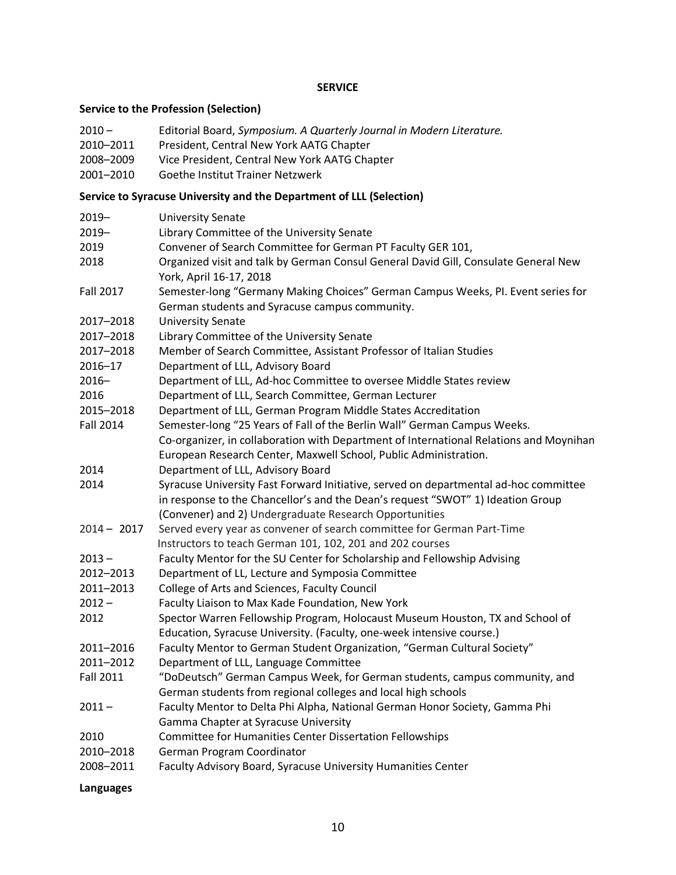### **SERVICE**

#### **Service to the Profession (Selection)**

- $2010 -$ 2010 – Editorial Board, *Symposium. A Quarterly Journal in Modern Literature.*
- 2010-2011 President, Central New York AATG Chapter
- 2008–2009 Vice President, Central New York AATG Chapter
- 2001–2010 Goethe Institut Trainer Netzwerk

#### **Service to Syracuse University and the Department of LLL (Selection)**

| 2019-            | <b>University Senate</b>                                                                                                                                                |
|------------------|-------------------------------------------------------------------------------------------------------------------------------------------------------------------------|
| $2019 -$         | Library Committee of the University Senate                                                                                                                              |
| 2019             | Convener of Search Committee for German PT Faculty GER 101,                                                                                                             |
| 2018             | Organized visit and talk by German Consul General David Gill, Consulate General New<br>York, April 16-17, 2018                                                          |
| <b>Fall 2017</b> | Semester-long "Germany Making Choices" German Campus Weeks, PI. Event series for<br>German students and Syracuse campus community.                                      |
| 2017-2018        | <b>University Senate</b>                                                                                                                                                |
| 2017-2018        | Library Committee of the University Senate                                                                                                                              |
| 2017-2018        | Member of Search Committee, Assistant Professor of Italian Studies                                                                                                      |
| $2016 - 17$      | Department of LLL, Advisory Board                                                                                                                                       |
| $2016 -$         | Department of LLL, Ad-hoc Committee to oversee Middle States review                                                                                                     |
| 2016             | Department of LLL, Search Committee, German Lecturer                                                                                                                    |
| 2015-2018        | Department of LLL, German Program Middle States Accreditation                                                                                                           |
| <b>Fall 2014</b> | Semester-long "25 Years of Fall of the Berlin Wall" German Campus Weeks.                                                                                                |
|                  | Co-organizer, in collaboration with Department of International Relations and Moynihan                                                                                  |
|                  | European Research Center, Maxwell School, Public Administration.                                                                                                        |
| 2014             | Department of LLL, Advisory Board                                                                                                                                       |
| 2014             | Syracuse University Fast Forward Initiative, served on departmental ad-hoc committee<br>in response to the Chancellor's and the Dean's request "SWOT" 1) Ideation Group |
|                  | (Convener) and 2) Undergraduate Research Opportunities                                                                                                                  |
| $2014 - 2017$    | Served every year as convener of search committee for German Part-Time                                                                                                  |
|                  | Instructors to teach German 101, 102, 201 and 202 courses                                                                                                               |
| $2013 -$         | Faculty Mentor for the SU Center for Scholarship and Fellowship Advising                                                                                                |
| 2012-2013        | Department of LL, Lecture and Symposia Committee                                                                                                                        |
| 2011-2013        | College of Arts and Sciences, Faculty Council                                                                                                                           |
| $2012 -$         | Faculty Liaison to Max Kade Foundation, New York                                                                                                                        |
| 2012             | Spector Warren Fellowship Program, Holocaust Museum Houston, TX and School of<br>Education, Syracuse University. (Faculty, one-week intensive course.)                  |
| 2011-2016        | Faculty Mentor to German Student Organization, "German Cultural Society"                                                                                                |
| 2011-2012        | Department of LLL, Language Committee                                                                                                                                   |
| <b>Fall 2011</b> | "DoDeutsch" German Campus Week, for German students, campus community, and<br>German students from regional colleges and local high schools                             |
| $2011 -$         | Faculty Mentor to Delta Phi Alpha, National German Honor Society, Gamma Phi                                                                                             |
|                  | Gamma Chapter at Syracuse University                                                                                                                                    |
| 2010             | Committee for Humanities Center Dissertation Fellowships                                                                                                                |
| 2010-2018        | German Program Coordinator                                                                                                                                              |
| 2008-2011        | Faculty Advisory Board, Syracuse University Humanities Center                                                                                                           |
|                  |                                                                                                                                                                         |

**Languages**